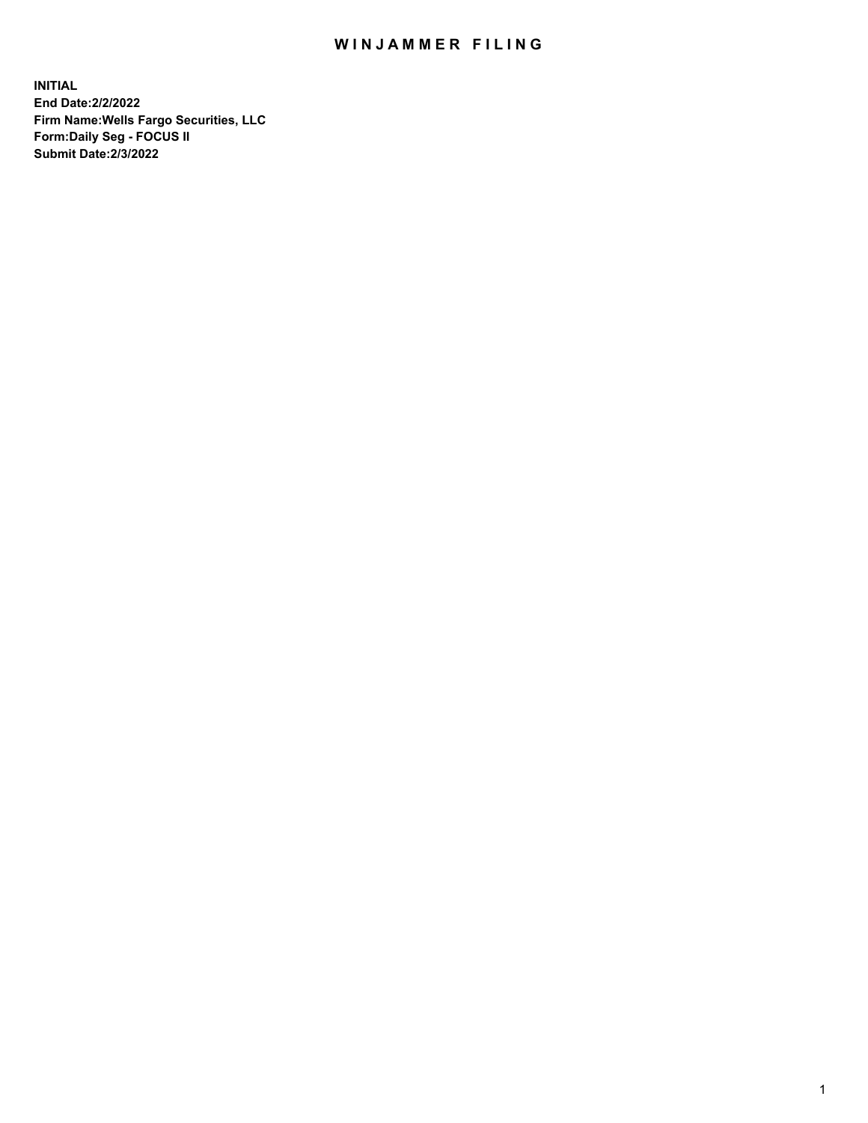## WIN JAMMER FILING

**INITIAL End Date:2/2/2022 Firm Name:Wells Fargo Securities, LLC Form:Daily Seg - FOCUS II Submit Date:2/3/2022**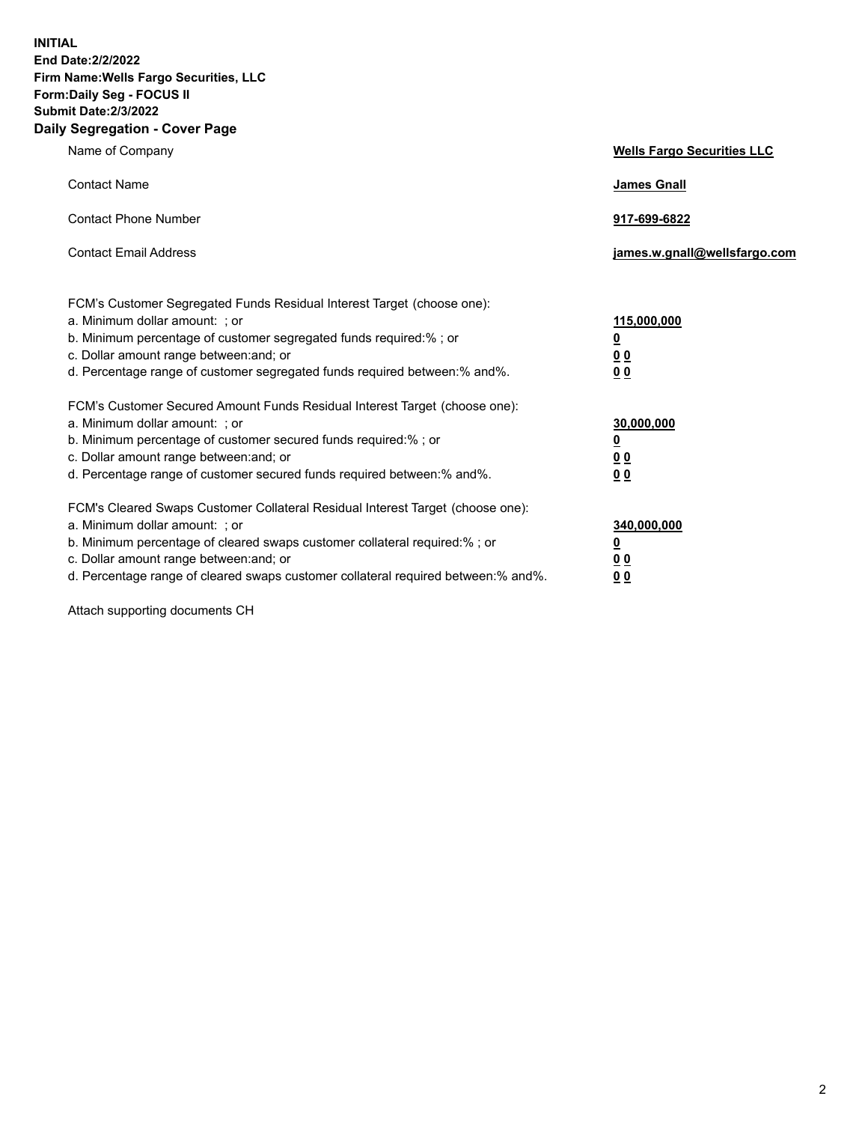**INITIAL End Date:2/2/2022 Firm Name:Wells Fargo Securities, LLC Form:Daily Seg - FOCUS II Submit Date:2/3/2022 Daily Segregation - Cover Page**

| Name of Company                                                                                                                                                                                                                                                                                                                | <b>Wells Fargo Securities LLC</b>                      |
|--------------------------------------------------------------------------------------------------------------------------------------------------------------------------------------------------------------------------------------------------------------------------------------------------------------------------------|--------------------------------------------------------|
| <b>Contact Name</b>                                                                                                                                                                                                                                                                                                            | <b>James Gnall</b>                                     |
| <b>Contact Phone Number</b>                                                                                                                                                                                                                                                                                                    | 917-699-6822                                           |
| <b>Contact Email Address</b>                                                                                                                                                                                                                                                                                                   | james.w.gnall@wellsfargo.com                           |
| FCM's Customer Segregated Funds Residual Interest Target (choose one):<br>a. Minimum dollar amount: ; or<br>b. Minimum percentage of customer segregated funds required:% ; or<br>c. Dollar amount range between: and; or<br>d. Percentage range of customer segregated funds required between: % and %.                       | 115,000,000<br><u>0</u><br><u>00</u><br>0 <sub>0</sub> |
| FCM's Customer Secured Amount Funds Residual Interest Target (choose one):<br>a. Minimum dollar amount: ; or<br>b. Minimum percentage of customer secured funds required:%; or<br>c. Dollar amount range between: and; or<br>d. Percentage range of customer secured funds required between: % and %.                          | 30,000,000<br><u>0</u><br><u>00</u><br>0 <sub>0</sub>  |
| FCM's Cleared Swaps Customer Collateral Residual Interest Target (choose one):<br>a. Minimum dollar amount: ; or<br>b. Minimum percentage of cleared swaps customer collateral required:% ; or<br>c. Dollar amount range between: and; or<br>d. Percentage range of cleared swaps customer collateral required between:% and%. | 340,000,000<br><u>0</u><br><u>00</u><br>00             |

Attach supporting documents CH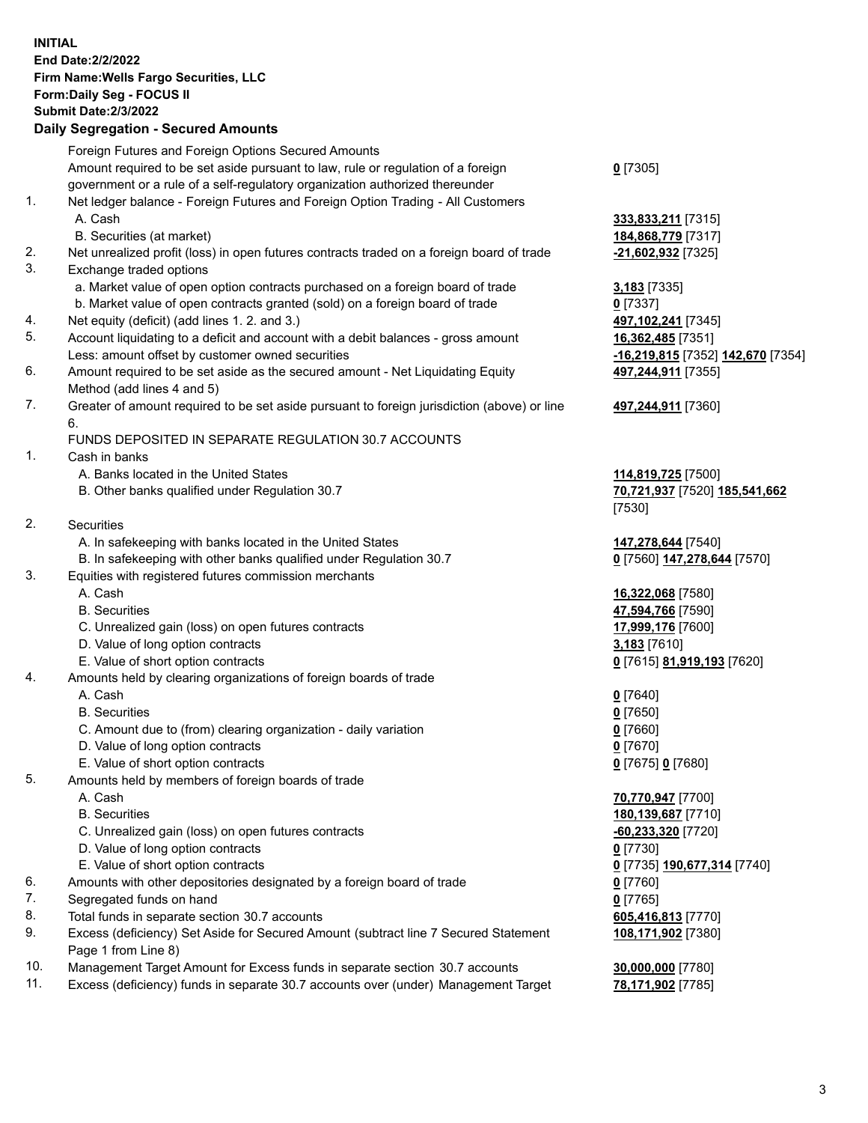**INITIAL End Date:2/2/2022 Firm Name:Wells Fargo Securities, LLC Form:Daily Seg - FOCUS II Submit Date:2/3/2022 Daily Segregation - Secured Amounts** Foreign Futures and Foreign Options Secured Amounts Amount required to be set aside pursuant to law, rule or regulation of a foreign government or a rule of a self-regulatory organization authorized thereunder

- 1. Net ledger balance Foreign Futures and Foreign Option Trading All Customers A. Cash **333,833,211** [7315]
	- B. Securities (at market) **184,868,779** [7317]
- 2. Net unrealized profit (loss) in open futures contracts traded on a foreign board of trade **-21,602,932** [7325]
- 3. Exchange traded options
	- a. Market value of open option contracts purchased on a foreign board of trade **3,183** [7335]
	- b. Market value of open contracts granted (sold) on a foreign board of trade **0** [7337]
- 4. Net equity (deficit) (add lines 1. 2. and 3.) **497,102,241** [7345]
- 5. Account liquidating to a deficit and account with a debit balances gross amount **16,362,485** [7351] Less: amount offset by customer owned securities **-16,219,815** [7352] **142,670** [7354]
- 6. Amount required to be set aside as the secured amount Net Liquidating Equity Method (add lines 4 and 5)
- 7. Greater of amount required to be set aside pursuant to foreign jurisdiction (above) or line 6.

## FUNDS DEPOSITED IN SEPARATE REGULATION 30.7 ACCOUNTS

- 1. Cash in banks
	- A. Banks located in the United States **114,819,725** [7500]
	- B. Other banks qualified under Regulation 30.7 **70,721,937** [7520] **185,541,662**
- 2. Securities
	- A. In safekeeping with banks located in the United States **147,278,644** [7540]
- B. In safekeeping with other banks qualified under Regulation 30.7 **0** [7560] **147,278,644** [7570]
- 3. Equities with registered futures commission merchants
	-
	-
	- C. Unrealized gain (loss) on open futures contracts **17,999,176** [7600]
	- D. Value of long option contracts **3,183** [7610]
	- E. Value of short option contracts **0** [7615] **81,919,193** [7620]
- 4. Amounts held by clearing organizations of foreign boards of trade
	- A. Cash **0** [7640]
	- B. Securities **0** [7650]
	- C. Amount due to (from) clearing organization daily variation **0** [7660]
	- D. Value of long option contracts **0** [7670]
	- E. Value of short option contracts **0** [7675] **0** [7680]
- 5. Amounts held by members of foreign boards of trade
	-
	-
	- C. Unrealized gain (loss) on open futures contracts **-60,233,320** [7720]
	- D. Value of long option contracts **0** [7730]
	- E. Value of short option contracts **0** [7735] **190,677,314** [7740]
- 6. Amounts with other depositories designated by a foreign board of trade **0** [7760]
- 7. Segregated funds on hand **0** [7765]
- 8. Total funds in separate section 30.7 accounts **605,416,813** [7770]
- 9. Excess (deficiency) Set Aside for Secured Amount (subtract line 7 Secured Statement Page 1 from Line 8)
- 10. Management Target Amount for Excess funds in separate section 30.7 accounts **30,000,000** [7780]
- 11. Excess (deficiency) funds in separate 30.7 accounts over (under) Management Target **78,171,902** [7785]

**0** [7305]

**497,244,911** [7355]

## **497,244,911** [7360]

[7530]

 A. Cash **16,322,068** [7580] B. Securities **47,594,766** [7590]

 A. Cash **70,770,947** [7700] B. Securities **180,139,687** [7710] **108,171,902** [7380]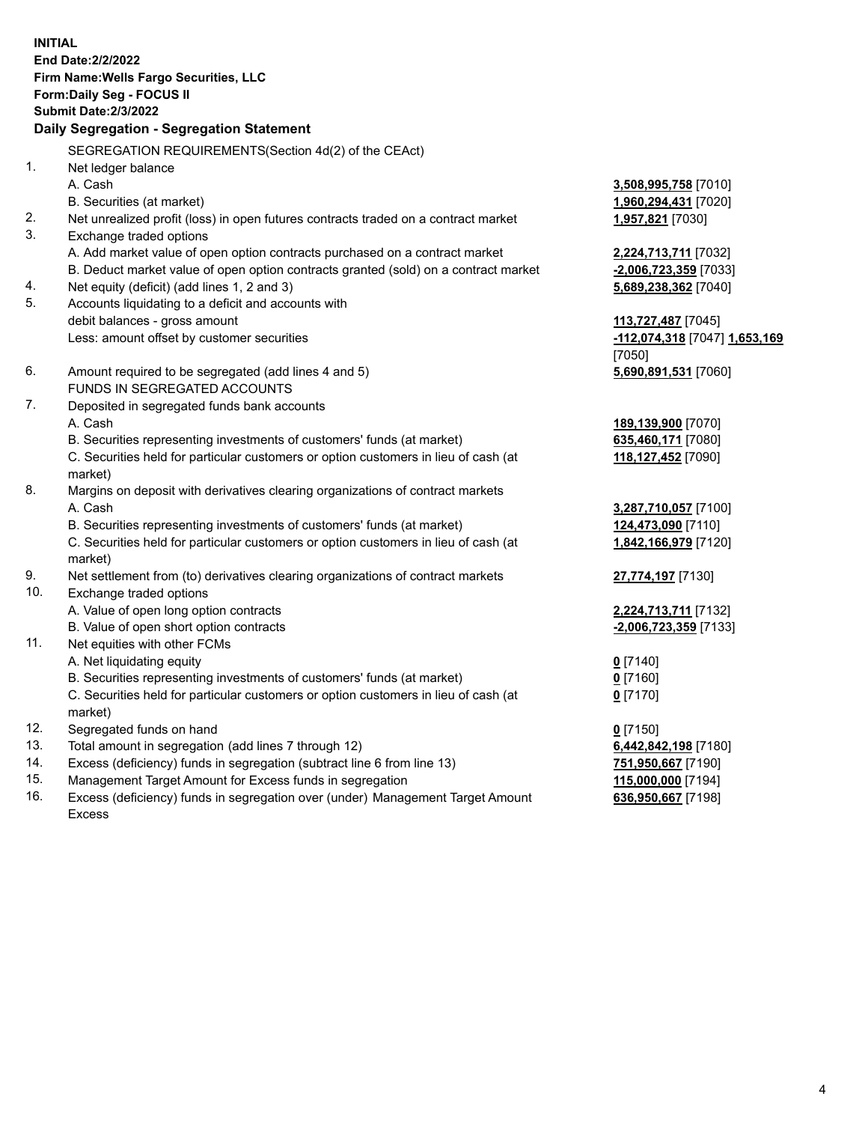**INITIAL End Date:2/2/2022 Firm Name:Wells Fargo Securities, LLC Form:Daily Seg - FOCUS II Submit Date:2/3/2022 Daily Segregation - Segregation Statement** SEGREGATION REQUIREMENTS(Section 4d(2) of the CEAct) 1. Net ledger balance A. Cash **3,508,995,758** [7010] B. Securities (at market) **1,960,294,431** [7020] 2. Net unrealized profit (loss) in open futures contracts traded on a contract market **1,957,821** [7030] 3. Exchange traded options A. Add market value of open option contracts purchased on a contract market **2,224,713,711** [7032] B. Deduct market value of open option contracts granted (sold) on a contract market **-2,006,723,359** [7033] 4. Net equity (deficit) (add lines 1, 2 and 3) **5,689,238,362** [7040] 5. Accounts liquidating to a deficit and accounts with debit balances - gross amount **113,727,487** [7045] Less: amount offset by customer securities **-112,074,318** [7047] **1,653,169** [7050] 6. Amount required to be segregated (add lines 4 and 5) **5,690,891,531** [7060] FUNDS IN SEGREGATED ACCOUNTS 7. Deposited in segregated funds bank accounts A. Cash **189,139,900** [7070] B. Securities representing investments of customers' funds (at market) **635,460,171** [7080] C. Securities held for particular customers or option customers in lieu of cash (at market) **118,127,452** [7090] 8. Margins on deposit with derivatives clearing organizations of contract markets A. Cash **3,287,710,057** [7100] B. Securities representing investments of customers' funds (at market) **124,473,090** [7110] C. Securities held for particular customers or option customers in lieu of cash (at market) **1,842,166,979** [7120] 9. Net settlement from (to) derivatives clearing organizations of contract markets **27,774,197** [7130] 10. Exchange traded options A. Value of open long option contracts **2,224,713,711** [7132] B. Value of open short option contracts **-2,006,723,359** [7133] 11. Net equities with other FCMs A. Net liquidating equity **0** [7140] B. Securities representing investments of customers' funds (at market) **0** [7160] C. Securities held for particular customers or option customers in lieu of cash (at market) **0** [7170] 12. Segregated funds on hand **0** [7150] 13. Total amount in segregation (add lines 7 through 12) **6,442,842,198** [7180] 14. Excess (deficiency) funds in segregation (subtract line 6 from line 13) **751,950,667** [7190] 15. Management Target Amount for Excess funds in segregation **115,000,000** [7194] **636,950,667** [7198]

16. Excess (deficiency) funds in segregation over (under) Management Target Amount Excess